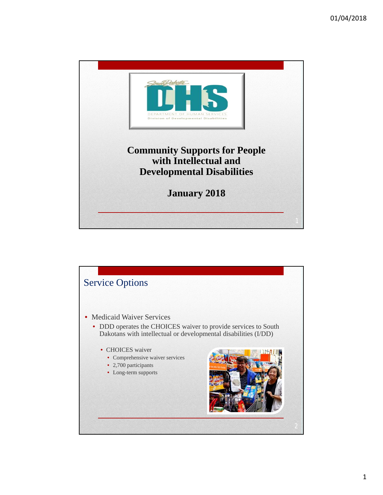

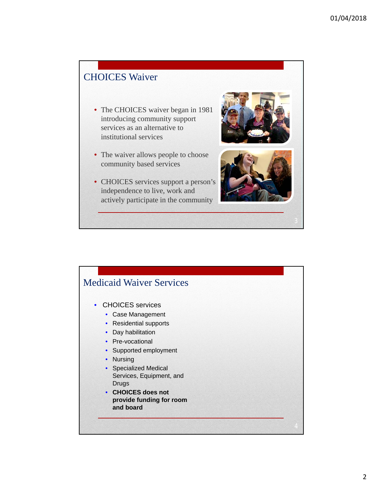# CHOICES Waiver

- The CHOICES waiver began in 1981 introducing community support services as an alternative to institutional services
- The waiver allows people to choose community based services
- CHOICES services support a person's independence to live, work and actively participate in the community





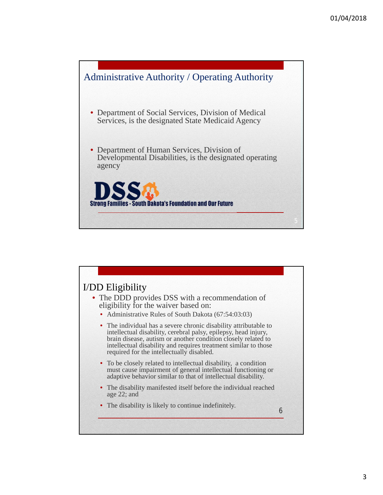

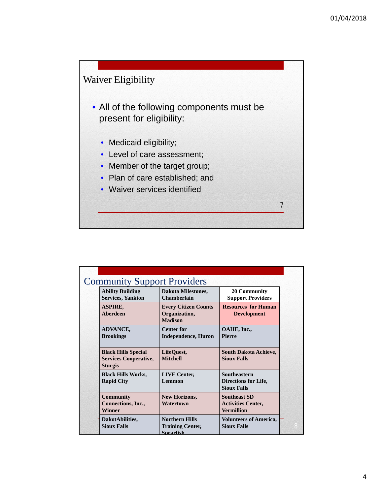

| <b>Community Support Providers</b>                                           |                                                                      |                                                                       |
|------------------------------------------------------------------------------|----------------------------------------------------------------------|-----------------------------------------------------------------------|
| <b>Ability Building</b><br><b>Services, Yankton</b>                          | <b>Dakota Milestones,</b><br><b>Chamberlain</b>                      | <b>20 Community</b><br><b>Support Providers</b>                       |
| <b>ASPIRE,</b><br>Aberdeen                                                   | <b>Every Citizen Counts</b><br>Organization,<br><b>Madison</b>       | <b>Resources for Human</b><br><b>Development</b>                      |
| <b>ADVANCE,</b><br><b>Brookings</b>                                          | <b>Center for</b><br><b>Independence, Huron</b>                      | OAHE, Inc.,<br><b>Pierre</b>                                          |
| <b>Black Hills Special</b><br><b>Services Cooperative,</b><br><b>Sturgis</b> | LifeQuest,<br><b>Mitchell</b>                                        | <b>South Dakota Achieve,</b><br><b>Sioux Falls</b>                    |
| <b>Black Hills Works,</b><br><b>Rapid City</b>                               | <b>LIVE</b> Center,<br>Lemmon                                        | <b>Southeastern</b><br>Directions for Life,<br><b>Sioux Falls</b>     |
| <b>Community</b><br>Connections, Inc.,<br><b>Winner</b>                      | <b>New Horizons,</b><br><b>Watertown</b>                             | <b>Southeast SD</b><br><b>Activities Center,</b><br><b>Vermillion</b> |
| DakotAbilities,<br><b>Sioux Falls</b>                                        | <b>Northern Hills</b><br><b>Training Center,</b><br><b>Spearfish</b> | <b>Volunteers of America,</b><br><b>Sioux Falls</b>                   |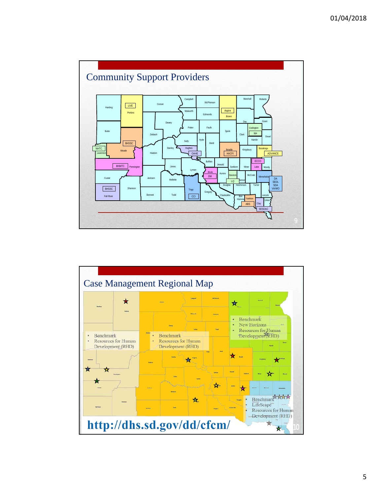

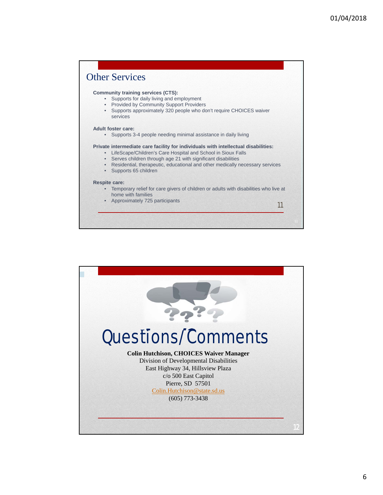

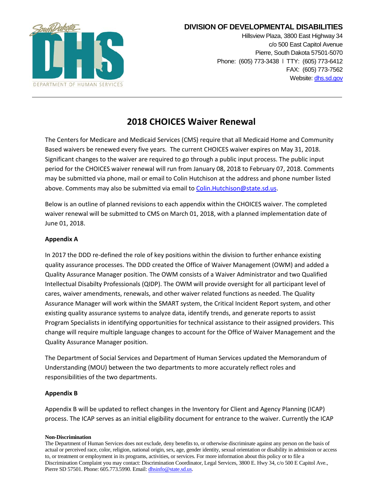

# **DIVISION OF DEVELOPMENTAL DISABILITIES**

Hillsview Plaza, 3800 East Highway 34 c/o 500 East Capitol Avenue Pierre, South Dakota 57501-5070 Phone: (605) 773-3438 ǀ TTY: (605) 773-6412 FAX: (605) 773-7562 Website[: dhs.sd.gov](http://dhs.sd.gov/)

# **2018 CHOICES Waiver Renewal**

The Centers for Medicare and Medicaid Services (CMS) require that all Medicaid Home and Community Based waivers be renewed every five years. The current CHOICES waiver expires on May 31, 2018. Significant changes to the waiver are required to go through a public input process. The public input period for the CHOICES waiver renewal will run from January 08, 2018 to February 07, 2018. Comments may be submitted via phone, mail or email to Colin Hutchison at the address and phone number listed above. Comments may also be submitted via email t[o Colin.Hutchison@state.sd.us.](mailto:Colin.Hutchison@state.sd.us)

Below is an outline of planned revisions to each appendix within the CHOICES waiver. The completed waiver renewal will be submitted to CMS on March 01, 2018, with a planned implementation date of June 01, 2018.

# **Appendix A**

In 2017 the DDD re-defined the role of key positions within the division to further enhance existing quality assurance processes. The DDD created the Office of Waiver Management (OWM) and added a Quality Assurance Manager position. The OWM consists of a Waiver Administrator and two Qualified Intellectual Disabilty Professionals (QIDP). The OWM will provide oversight for all participant level of cares, waiver amendments, renewals, and other waiver related functions as needed. The Quality Assurance Manager will work within the SMART system, the Critical Incident Report system, and other existing quality assurance systems to analyze data, identify trends, and generate reports to assist Program Specialists in identifying opportunities for technical assistance to their assigned providers. This change will require multiple language changes to account for the Office of Waiver Management and the Quality Assurance Manager position.

The Department of Social Services and Department of Human Services updated the Memorandum of Understanding (MOU) between the two departments to more accurately reflect roles and responsibilities of the two departments.

# **Appendix B**

Appendix B will be updated to reflect changes in the Inventory for Client and Agency Planning (ICAP) process. The ICAP serves as an initial eligibility document for entrance to the waiver. Currently the ICAP

#### **Non-Discrimination**

The Department of Human Services does not exclude, deny benefits to, or otherwise discriminate against any person on the basis of actual or perceived race, color, religion, national origin, sex, age, gender identity, sexual orientation or disability in admission or access to, or treatment or employment in its programs, activities, or services. For more information about this policy or to file a Discrimination Complaint you may contact: Discrimination Coordinator, Legal Services, 3800 E. Hwy 34, c/o 500 E Capitol Ave., Pierre SD 57501. Phone: 605.773.5990. Email[: dhsinfo@state.sd.us.](mailto:dhsinfo@state.sd.us)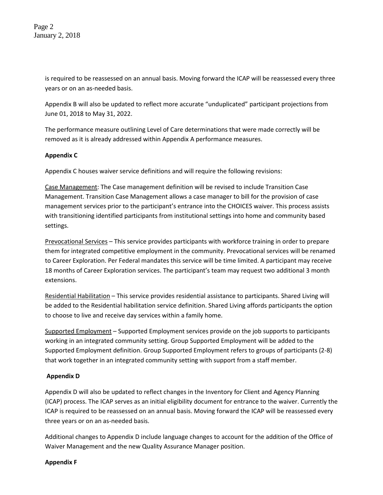is required to be reassessed on an annual basis. Moving forward the ICAP will be reassessed every three years or on an as-needed basis.

Appendix B will also be updated to reflect more accurate "unduplicated" participant projections from June 01, 2018 to May 31, 2022.

The performance measure outlining Level of Care determinations that were made correctly will be removed as it is already addressed within Appendix A performance measures.

# **Appendix C**

Appendix C houses waiver service definitions and will require the following revisions:

Case Management: The Case management definition will be revised to include Transition Case Management. Transition Case Management allows a case manager to bill for the provision of case management services prior to the participant's entrance into the CHOICES waiver. This process assists with transitioning identified participants from institutional settings into home and community based settings.

Prevocational Services – This service provides participants with workforce training in order to prepare them for integrated competitive employment in the community. Prevocational services will be renamed to Career Exploration. Per Federal mandates this service will be time limited. A participant may receive 18 months of Career Exploration services. The participant's team may request two additional 3 month extensions.

Residential Habilitation – This service provides residential assistance to participants. Shared Living will be added to the Residential habilitation service definition. Shared Living affords participants the option to choose to live and receive day services within a family home.

Supported Employment – Supported Employment services provide on the job supports to participants working in an integrated community setting. Group Supported Employment will be added to the Supported Employment definition. Group Supported Employment refers to groups of participants (2-8) that work together in an integrated community setting with support from a staff member.

# **Appendix D**

Appendix D will also be updated to reflect changes in the Inventory for Client and Agency Planning (ICAP) process. The ICAP serves as an initial eligibility document for entrance to the waiver. Currently the ICAP is required to be reassessed on an annual basis. Moving forward the ICAP will be reassessed every three years or on an as-needed basis.

Additional changes to Appendix D include language changes to account for the addition of the Office of Waiver Management and the new Quality Assurance Manager position.

#### **Appendix F**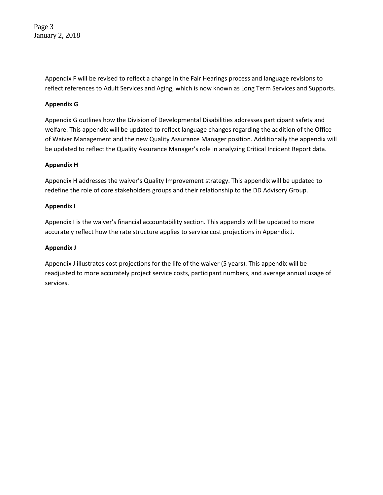Page 3 January 2, 2018

> Appendix F will be revised to reflect a change in the Fair Hearings process and language revisions to reflect references to Adult Services and Aging, which is now known as Long Term Services and Supports.

### **Appendix G**

Appendix G outlines how the Division of Developmental Disabilities addresses participant safety and welfare. This appendix will be updated to reflect language changes regarding the addition of the Office of Waiver Management and the new Quality Assurance Manager position. Additionally the appendix will be updated to reflect the Quality Assurance Manager's role in analyzing Critical Incident Report data.

#### **Appendix H**

Appendix H addresses the waiver's Quality Improvement strategy. This appendix will be updated to redefine the role of core stakeholders groups and their relationship to the DD Advisory Group.

#### **Appendix I**

Appendix I is the waiver's financial accountability section. This appendix will be updated to more accurately reflect how the rate structure applies to service cost projections in Appendix J.

#### **Appendix J**

Appendix J illustrates cost projections for the life of the waiver (5 years). This appendix will be readjusted to more accurately project service costs, participant numbers, and average annual usage of services.